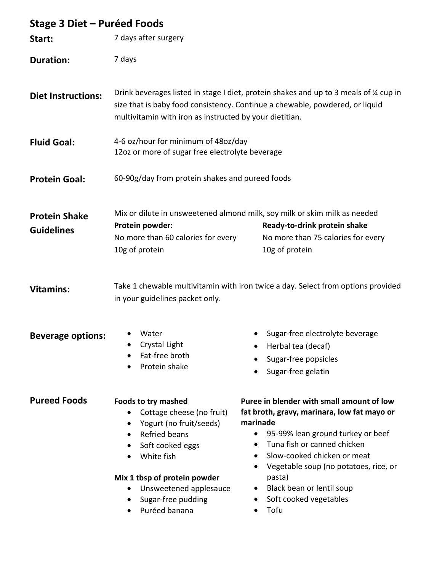| Stage 3 Diet – Puréed Foods               |                                                                                                                                                                                                                                                                                    |                                                                                                                                                                                                                                                                                                                                        |
|-------------------------------------------|------------------------------------------------------------------------------------------------------------------------------------------------------------------------------------------------------------------------------------------------------------------------------------|----------------------------------------------------------------------------------------------------------------------------------------------------------------------------------------------------------------------------------------------------------------------------------------------------------------------------------------|
| Start:                                    | 7 days after surgery                                                                                                                                                                                                                                                               |                                                                                                                                                                                                                                                                                                                                        |
| <b>Duration:</b>                          | 7 days                                                                                                                                                                                                                                                                             |                                                                                                                                                                                                                                                                                                                                        |
| <b>Diet Instructions:</b>                 | Drink beverages listed in stage I diet, protein shakes and up to 3 meals of % cup in<br>size that is baby food consistency. Continue a chewable, powdered, or liquid<br>multivitamin with iron as instructed by your dietitian.                                                    |                                                                                                                                                                                                                                                                                                                                        |
| <b>Fluid Goal:</b>                        | 4-6 oz/hour for minimum of 48oz/day<br>12oz or more of sugar free electrolyte beverage                                                                                                                                                                                             |                                                                                                                                                                                                                                                                                                                                        |
| <b>Protein Goal:</b>                      | 60-90g/day from protein shakes and pureed foods                                                                                                                                                                                                                                    |                                                                                                                                                                                                                                                                                                                                        |
| <b>Protein Shake</b><br><b>Guidelines</b> | Protein powder:<br>No more than 60 calories for every<br>10g of protein                                                                                                                                                                                                            | Mix or dilute in unsweetened almond milk, soy milk or skim milk as needed<br>Ready-to-drink protein shake<br>No more than 75 calories for every<br>10g of protein                                                                                                                                                                      |
| <b>Vitamins:</b>                          | Take 1 chewable multivitamin with iron twice a day. Select from options provided<br>in your guidelines packet only.                                                                                                                                                                |                                                                                                                                                                                                                                                                                                                                        |
| <b>Beverage options:</b>                  | Water<br>Crystal Light<br>Fat-free broth<br>Protein shake                                                                                                                                                                                                                          | Sugar-free electrolyte beverage<br>Herbal tea (decaf)<br>Sugar-free popsicles<br>Sugar-free gelatin                                                                                                                                                                                                                                    |
| <b>Pureed Foods</b>                       | <b>Foods to try mashed</b><br>Cottage cheese (no fruit)<br>Yogurt (no fruit/seeds)<br>Refried beans<br>$\bullet$<br>Soft cooked eggs<br>٠<br>White fish<br>$\bullet$<br>Mix 1 tbsp of protein powder<br>Unsweetened applesauce<br>Sugar-free pudding<br>$\bullet$<br>Puréed banana | Puree in blender with small amount of low<br>fat broth, gravy, marinara, low fat mayo or<br>marinade<br>95-99% lean ground turkey or beef<br>Tuna fish or canned chicken<br>Slow-cooked chicken or meat<br>$\bullet$<br>Vegetable soup (no potatoes, rice, or<br>pasta)<br>Black bean or lentil soup<br>Soft cooked vegetables<br>Tofu |